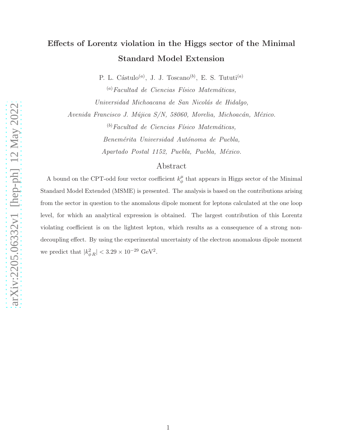# Effects of Lorentz violation in the Higgs sector of the Minimal Standard Model Extension

P. L. Cástulo<sup>(a)</sup>, J. J. Toscano<sup>(b)</sup>, E. S. Tututi<sup>(a)</sup>

 $\alpha^{(a)}$ Facultad de Ciencias Físico Matemáticas, Universidad Michoacana de San Nicolás de Hidalgo,

Avenida Francisco J. Mújica S/N, 58060, Morelia, Michoacán, México.

 $<sup>(b)</sup> Facultad de Ciencias Físico Matemáticas,$ </sup> Benemérita Universidad Autónoma de Puebla, Apartado Postal 1152, Puebla, Puebla, México.

# Abstract

A bound on the CPT-odd four vector coefficient  $k^{\mu}_{\phi}$  $\frac{\mu}{\phi}$  that appears in Higgs sector of the Minimal Standard Model Extended (MSME) is presented. The analysis is based on the contributions arising from the sector in question to the anomalous dipole moment for leptons calculated at the one loop level, for which an analytical expression is obtained. The largest contribution of this Lorentz violating coefficient is on the lightest lepton, which results as a consequence of a strong nondecoupling effect. By using the experimental uncertainty of the electron anomalous dipole moment we predict that  $|k_{\phi R}^2| < 3.29 \times 10^{-29} \text{ GeV}^2$ .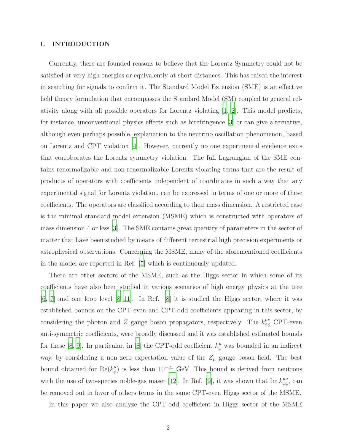## I. INTRODUCTION

Currently, there are founded reasons to believe that the Lorentz Symmetry could not be satisfied at very high energies or equivalently at short distances. This has raised the interest in searching for signals to confirm it. The Standard Model Extension (SME) is an effective field theory formulation that encompasses the Standard Model (SM) coupled to general relativity along with all possible operators for Lorentz violating [\[1](#page-8-0), [2\]](#page-8-1). This model predicts, for instance, unconventional physics effects such as birefringence [\[3\]](#page-8-2) or can give alternative, although even perhaps possible, explanation to the neutrino oscillation phenomenon, based on Lorentz and CPT violation [\[4\]](#page-8-3). However, currently no one experimental evidence exits that corroborates the Lorentz symmetry violation. The full Lagrangian of the SME contains renormalizable and non-renormalizable Lorentz violating terms that are the result of products of operators with coefficients independent of coordinates in such a way that any experimental signal for Lorentz violation, can be expressed in terms of one or more of these coefficients. The operators are classified according to their mass dimension. A restricted case is the minimal standard model extension (MSME) which is constructed with operators of mass dimension 4 or less [\[3](#page-8-2)]. The SME contains great quantity of parameters in the sector of matter that have been studied by means of different terrestrial high precision experiments or astrophysical observations. Concerning the MSME, many of the aforementioned coefficients in the model are reported in Ref. [\[5\]](#page-8-4) which is continuously updated.

There are other sectors of the MSME, such as the Higgs sector in which some of its coefficients have also been studied in various scenarios of high energy physics at the tree  $[6, 7]$  $[6, 7]$  $[6, 7]$  $[6, 7]$  and one loop level  $[8-11]$ . In Ref.  $[8]$  it is studied the Higgs sector, where it was established bounds on the CPT-even and CPT-odd coefficients appearing in this sector, by considering the photon and Z gauge boson propagators, respectively. The  $k_{\phi\phi}^{\mu\nu}$  CPT-even anti-symmetric coefficients, were broadly discussed and it was established estimated bounds for these [\[8](#page-8-7), [9](#page-9-1)]. In particular, in [\[8\]](#page-8-7) the CPT-odd coefficient  $k^{\mu}_{\phi}$  was bounded in an indirect way, by considering a non zero expectation value of the  $Z_{\mu}$  gauge boson field. The best bound obtained for  $\text{Re}(k^{\mu}_{\phi})$  $_{\phi}^{\mu}$ ) is less than 10<sup>-31</sup> GeV. This bound is derived from neutrons with the use of two-species noble-gas maser [\[12\]](#page-9-2). In Ref. [\[9](#page-9-1)], it was shown that Im  $k_{\phi\phi}^{\mu\nu}$ , can be removed out in favor of others terms in the same CPT-even Higgs sector of the MSME.

In this paper we also analyze the CPT-odd coefficient in Higgs sector of the MSME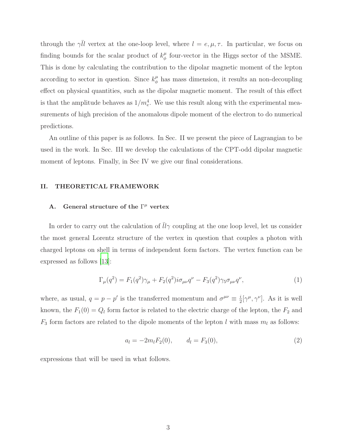through the  $\gamma \overline{l} \overline{l}$  vertex at the one-loop level, where  $l = e, \mu, \tau$ . In particular, we focus on finding bounds for the scalar product of  $k^{\mu}_{\phi}$  $\frac{\mu}{\phi}$  four-vector in the Higgs sector of the MSME. This is done by calculating the contribution to the dipolar magnetic moment of the lepton according to sector in question. Since  $k^{\mu}_{\phi}$  $\frac{\mu}{\phi}$  has mass dimension, it results an non-decoupling effect on physical quantities, such as the dipolar magnetic moment. The result of this effect is that the amplitude behaves as  $1/m_e^4$ . We use this result along with the experimental measurements of high precision of the anomalous dipole moment of the electron to do numerical predictions.

An outline of this paper is as follows. In Sec. II we present the piece of Lagrangian to be used in the work. In Sec. III we develop the calculations of the CPT-odd dipolar magnetic moment of leptons. Finally, in Sec IV we give our final considerations.

## II. THEORETICAL FRAMEWORK

# A. General structure of the  $\Gamma^{\mu}$  vertex

In order to carry out the calculation of  $\bar{l}l\gamma$  coupling at the one loop level, let us consider the most general Lorentz structure of the vertex in question that couples a photon with charged leptons on shell in terms of independent form factors. The vertex function can be expressed as follows [\[13](#page-9-3)]:

<span id="page-2-0"></span>
$$
\Gamma_{\mu}(q^2) = F_1(q^2)\gamma_{\mu} + F_2(q^2)i\sigma_{\mu\nu}q^{\nu} - F_3(q^2)\gamma_5\sigma_{\mu\nu}q^{\nu},\tag{1}
$$

where, as usual,  $q = p - p'$  is the transferred momentum and  $\sigma^{\mu\nu} \equiv \frac{i}{2}$  $\frac{i}{2} [\gamma^{\mu}, \gamma^{\nu}]$ . As it is well known, the  $F_1(0) = Q_l$  form factor is related to the electric charge of the lepton, the  $F_2$  and  $F_3$  form factors are related to the dipole moments of the lepton l with mass  $m_l$  as follows:

$$
a_l = -2m_l F_2(0), \t d_l = F_3(0), \t (2)
$$

expressions that will be used in what follows.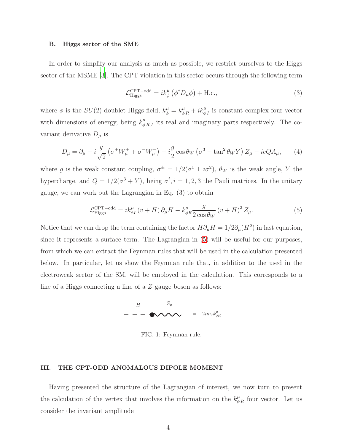#### B. Higgs sector of the SME

In order to simplify our analysis as much as possible, we restrict ourselves to the Higgs sector of the MSME [\[3](#page-8-2)]. The CPT violation in this sector occurs through the following term

$$
\mathcal{L}_{\text{Higgs}}^{\text{CPT-odd}} = ik_{\phi}^{\mu} \left( \phi^{\dagger} D_{\mu} \phi \right) + \text{H.c.},\tag{3}
$$

where  $\phi$  is the  $SU(2)$ -doublet Higgs field,  $k^{\mu}_{\phi} = k^{\mu}_{\phi} + i k^{\mu}_{\phi}$  is constant complex four-vector with dimensions of energy, being  $k^{\mu}_{\phi R,I}$  its real and imaginary parts respectively. The covariant derivative  $D_{\mu}$  is

$$
D_{\mu} = \partial_{\mu} - i\frac{g}{\sqrt{2}} \left( \sigma^+ W^+_{\mu} + \sigma^- W^-_{\mu} \right) - i\frac{g}{2} \cos \theta_W \left( \sigma^3 - \tan^2 \theta_W Y \right) Z_{\mu} - ieQ A_{\mu}, \tag{4}
$$

where g is the weak constant coupling,  $\sigma^{\pm} = 1/2(\sigma^1 \pm i\sigma^2)$ ,  $\theta_W$  is the weak angle, Y the hypercharge, and  $Q = 1/2(\sigma^3 + Y)$ , being  $\sigma^i$ ,  $i = 1, 2, 3$  the Pauli matrices. In the unitary gauge, we can work out the Lagrangian in Eq. (3) to obtain

<span id="page-3-0"></span>
$$
\mathcal{L}_{\text{Higgs}}^{\text{CPT-odd}} = ik_{\phi I}^{\mu} \left( v + H \right) \partial_{\mu} H - k_{\phi R}^{\mu} \frac{g}{2 \cos \theta_W} \left( v + H \right)^2 Z_{\mu}.
$$
 (5)

Notice that we can drop the term containing the factor  $H \partial_{\mu} H = 1/2 \partial_{\mu} (H^2)$  in last equation, since it represents a surface term. The Lagrangian in [\(5\)](#page-3-0) will be useful for our purposes, from which we can extract the Feynman rules that will be used in the calculation presented below. In particular, let us show the Feynman rule that, in addition to the used in the electroweak sector of the SM, will be employed in the calculation. This corresponds to a line of a Higgs connecting a line of a Z gauge boson as follows:



FIG. 1: Feynman rule.

## III. THE CPT-ODD ANOMALOUS DIPOLE MOMENT

Having presented the structure of the Lagrangian of interest, we now turn to present the calculation of the vertex that involves the information on the  $k^{\mu}_{\phi R}$  four vector. Let us consider the invariant amplitude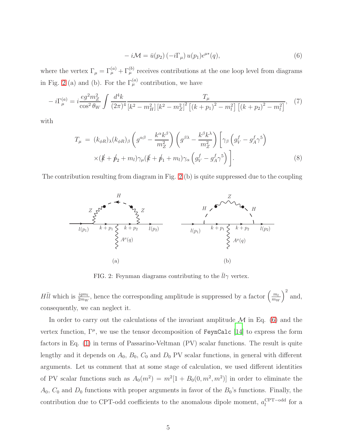<span id="page-4-1"></span>
$$
-i\mathcal{M} = \bar{u}(p_2) (-i\Gamma_\mu) u(p_1) \epsilon^{\mu*}(q), \qquad (6)
$$

where the vertex  $\Gamma_{\mu} = \Gamma_{\mu}^{(a)} + \Gamma_{\mu}^{(b)}$  receives contributions at the one loop level from diagrams in Fig. [2](#page-4-0) (a) and (b). For the  $\Gamma_{\mu}^{(a)}$  contribution, we have

$$
-i\Gamma_{\mu}^{(a)} = i\frac{eg^2m_Z^2}{\cos^2\theta_W} \int \frac{d^4k}{(2\pi)^4} \frac{T_{\mu}}{[k^2 - m_H^2][k^2 - m_Z^2]^2 \left[ (k+p_1)^2 - m_l^2 \right] \left[ (k+p_2)^2 - m_l^2 \right]},
$$
 (7)

with

$$
T_{\mu} = (k_{\phi R})_{\lambda} (k_{\phi R})_{\beta} \left( g^{\alpha \beta} - \frac{k^{\alpha} k^{\beta}}{m_Z^2} \right) \left( g^{\beta \lambda} - \frac{k^{\beta} k^{\lambda}}{m_Z^2} \right) \left[ \gamma_{\beta} \left( g_V^f - g_A^f \gamma^5 \right) \times \left( k + \not{p}_2 + m_l \right) \gamma_{\mu} (k + \not{p}_1 + m_l) \gamma_{\alpha} \left( g_V^f - g_A^f \gamma^5 \right) \right]. \tag{8}
$$

The contribution resulting from diagram in Fig.  $2(b)$  is quite suppressed due to the coupling



<span id="page-4-0"></span>FIG. 2: Feynman diagrams contributing to the  $\bar{l}l\gamma$  vertex.

 $H\bar{l}l$  which is  $\frac{igm_l}{2m_W}$ , hence the corresponding amplitude is suppressed by a factor  $\left(\frac{m_l}{m_W}\right)$  $\left(\frac{m_l}{m_W}\right)^2$  and, consequently, we can neglect it.

In order to carry out the calculations of the invariant amplitude  $\mathcal M$  in Eq. [\(6\)](#page-4-1) and the vertex function,  $\Gamma^{\mu}$ , we use the tensor decomposition of FeynCalc [\[14](#page-9-4)] to express the form factors in Eq. [\(1\)](#page-2-0) in terms of Passarino-Veltman (PV) scalar functions. The result is quite lengthy and it depends on  $A_0$ ,  $B_0$ ,  $C_0$  and  $D_0$  PV scalar functions, in general with different arguments. Let us comment that at some stage of calculation, we used different identities of PV scalar functions such as  $A_0(m^2) = m^2[1 + B_0(0, m^2, m^2)]$  in order to eliminate the  $A_0$ ,  $C_0$  and  $D_0$  functions with proper arguments in favor of the  $B_0$ 's functions. Finally, the contribution due to CPT-odd coefficients to the anomalous dipole moment,  $a_l^{\text{CPT-odd}}$  $\frac{CPT - odd}{l}$  for a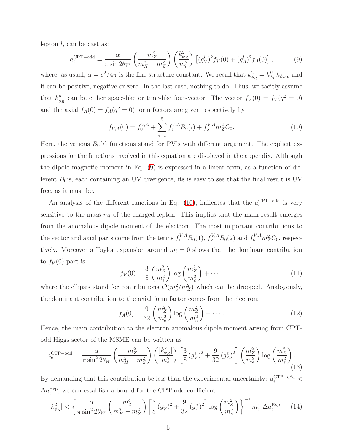lepton l, can be cast as:

<span id="page-5-0"></span>
$$
a_l^{\text{CPT-odd}} = \frac{\alpha}{\pi \sin 2\theta_W} \left( \frac{m_Z^2}{m_H^2 - m_Z^2} \right) \left( \frac{k_{\phi_R}^2}{m_l^2} \right) \left[ (g_V^l)^2 f_V(0) + (g_A^l)^2 f_A(0) \right],\tag{9}
$$

where, as usual,  $\alpha = e^2/4\pi$  is the fine structure constant. We recall that  $k_{\phi_R}^2 = k_{\phi}^{\mu}$  $_{\phi_R}^{\mu} k_{\phi_R \, \mu}$  and it can be positive, negative or zero. In the last case, nothing to do. Thus, we tacitly assume that  $k^{\mu}_{\phi}$  $\frac{\mu}{\phi_R}$  can be either space-like or time-like four-vector. The vector  $f_V(0) = f_V(q^2 = 0)$ and the axial  $f_A(0) = f_A(q^2 = 0)$  form factors are given respectively by

<span id="page-5-1"></span>
$$
f_{V,A}(0) = f_0^{V,A} + \sum_{i=1}^{5} f_i^{V,A} B_0(i) + f_6^{V,A} m_Z^2 C_0.
$$
 (10)

Here, the various  $B_0(i)$  functions stand for PV's with different argument. The explicit expressions for the functions involved in this equation are displayed in the appendix. Although the dipole magnetic moment in Eq. [\(9\)](#page-5-0) is expressed in a linear form, as a function of different  $B_0$ 's, each containing an UV divergence, its is easy to see that the final result is UV free, as it must be.

An analysis of the different functions in Eq. [\(10\)](#page-5-1), indicates that the  $a_l^{\text{CPT-odd}}$  $\frac{CPT - odd}{l}$  is very sensitive to the mass  $m_l$  of the charged lepton. This implies that the main result emerges from the anomalous dipole moment of the electron. The most important contributions to the vector and axial parts come from the terms  $f_1^{V,A}B_0(1)$ ,  $f_2^{V,A}B_0(2)$  and  $f_6^{V,A}m_Z^2C_0$ , respectively. Moreover a Taylor expansion around  $m_l = 0$  shows that the dominant contribution to  $f_V(0)$  part is

$$
f_V(0) = \frac{3}{8} \left( \frac{m_Z^2}{m_e^2} \right) \log \left( \frac{m_Z^2}{m_e^2} \right) + \cdots,
$$
\n(11)

where the ellipsis stand for contributions  $\mathcal{O}(m_e^2/m_Z^2)$  which can be dropped. Analogously, the dominant contribution to the axial form factor comes from the electron:

$$
f_A(0) = \frac{9}{32} \left( \frac{m_Z^2}{m_e^2} \right) \log \left( \frac{m_Z^2}{m_e^2} \right) + \cdots
$$
 (12)

Hence, the main contribution to the electron anomalous dipole moment arising from CPTodd Higgs sector of the MSME can be written as

$$
a_e^{\text{CTP-odd}} = \frac{\alpha}{\pi \sin^2 2\theta_W} \left( \frac{m_Z^2}{m_H^2 - m_Z^2} \right) \left( \frac{|k_{\phi_R}^2|}{m_e^2} \right) \left[ \frac{3}{8} \left( g_V^e \right)^2 + \frac{9}{32} \left( g_A^e \right)^2 \right] \left( \frac{m_Z^2}{m_e^2} \right) \log \left( \frac{m_Z^2}{m_e^2} \right). \tag{13}
$$

By demanding that this contribution be less than the experimental uncertainty:  $a_e^{\text{CTP-odd}}$  $\Delta a_e^{\text{Exp}}$ , we can establish a bound for the CPT-odd coefficient:

$$
|k_{\phi_R}^2| < \left\{ \frac{\alpha}{\pi \sin^2 2\theta_W} \left( \frac{m_Z^4}{m_H^2 - m_Z^2} \right) \left[ \frac{3}{8} \left( g_V^e \right)^2 + \frac{9}{32} \left( g_A^e \right)^2 \right] \log \left( \frac{m_Z^2}{m_e^2} \right) \right\}^{-1} m_e^4 \, \Delta a_e^{\text{Exp}}.\tag{14}
$$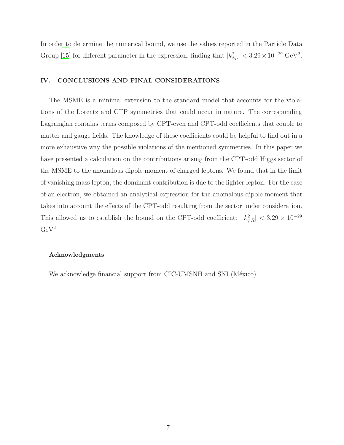In order to determine the numerical bound, we use the values reported in the Particle Data Group [\[15\]](#page-9-5) for different parameter in the expression, finding that  $|k_{\phi_R}^2| < 3.29 \times 10^{-29}$  GeV<sup>2</sup>.

## IV. CONCLUSIONS AND FINAL CONSIDERATIONS

The MSME is a minimal extension to the standard model that accounts for the violations of the Lorentz and CTP symmetries that could occur in nature. The corresponding Lagrangian contains terms composed by CPT-even and CPT-odd coefficients that couple to matter and gauge fields. The knowledge of these coefficients could be helpful to find out in a more exhaustive way the possible violations of the mentioned symmetries. In this paper we have presented a calculation on the contributions arising from the CPT-odd Higgs sector of the MSME to the anomalous dipole moment of charged leptons. We found that in the limit of vanishing mass lepton, the dominant contribution is due to the lighter lepton. For the case of an electron, we obtained an analytical expression for the anomalous dipole moment that takes into account the effects of the CPT-odd resulting from the sector under consideration. This allowed us to establish the bound on the CPT-odd coefficient:  $|k_{\phi R}^2| < 3.29 \times 10^{-29}$  $GeV<sup>2</sup>$ .

#### Acknowledgments

We acknowledge financial support from CIC-UMSNH and SNI (México).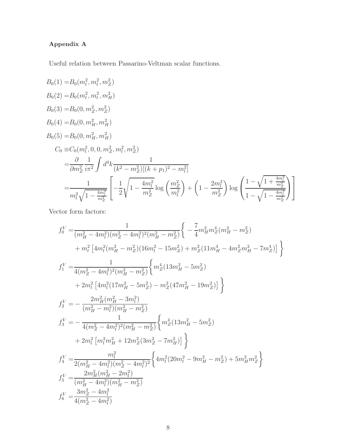# Appendix A

Useful relation between Passarino-Veltman scalar functions.

$$
B_0(1) = B_0(m_l^2, m_l^2, m_Z^2)
$$
  
\n
$$
B_0(2) = B_0(m_l^2, m_l^2, m_H^2)
$$
  
\n
$$
B_0(3) = B_0(0, m_Z^2, m_Z^2)
$$
  
\n
$$
B_0(4) = B_0(0, m_H^2, m_H^2)
$$
  
\n
$$
B_0(5) = B_0(0, m_H^2, m_H^2)
$$
  
\n
$$
C_0 \equiv C_0(m_l^2, 0, 0, m_Z^2, m_l^2, m_Z^2)
$$
  
\n
$$
= \frac{\partial}{\partial m_Z^2} \frac{1}{i\pi^2} \int d^4k \frac{1}{(k^2 - m_Z^2)[(k + p_1)^2 - m_l^2]}
$$
  
\n
$$
= \frac{1}{m_l^2 \sqrt{1 - \frac{4m_l^2}{m_Z^2}}} \left[ -\frac{1}{2} \sqrt{1 - \frac{4m_l^2}{m_Z^2}} \log \left( \frac{m_Z^2}{m_l^2} \right) + \left( 1 - \frac{2m_l^2}{m_Z^2} \right) \log \left( \frac{1 - \sqrt{1 + \frac{4m_l^2}{m_Z^2}}}{1 - \sqrt{1 - \frac{4m_l^2}{m_Z^2}}} \right) \right]
$$

Vector form factors:

$$
f_0^V = \frac{1}{(m_H^2 - 4m_l^2)(m_Z^2 - 4m_l^2)^2(m_H^2 - m_Z^2)} \Bigg\{ -\frac{7}{4} m_H^2 m_Z^4 (m_H^2 - m_Z^2) + m_l^2 [4m_l^2 (m_H^2 - m_Z^2)(16m_l^2 - 15m_Z^2) + m_Z^2 (11m_H^4 - 4m_Z^2 m_H^2 - 7m_Z^4)] \Bigg\}
$$
  

$$
f_1^V = \frac{1}{4(m_Z^2 - 4m_l^2)^2(m_H^2 - m_Z^2)} \Bigg\{ m_Z^4 (13m_H^2 - 5m_Z^2) + 2m_l^2 [4m_l^2 (17m_H^2 - 5m_Z^2) - m_Z^2 (47m_H^2 - 19m_Z^2)] \Bigg\}
$$
  

$$
f_2^V = -\frac{2m_H^2 (m_H^2 - 3m_l^2)}{(m_H^2 - m_l^2)(m_H^2 - m_Z^2)} \Bigg\{ m_Z^4 (13m_H^2 - 5m_Z^2) f_3^V = -\frac{1}{4(m_Z^2 - 4m_l^2)^2(m_H^2 - m_Z^2)} \Bigg\{ m_Z^4 (13m_H^2 - 5m_Z^2) + 2m_l^2 [m_l^2 m_H^2 + 12m_Z^2 (3m_Z^2 - 7m_H^2)] \Bigg\}
$$
  

$$
f_4^V = \frac{m_l^2}{2(m_H^2 - 4m_l^2)(m_Z^2 - 4m_l^2)^2} \Bigg\{ 4m_l^2 (20m_l^2 - 9m_H^2 - m_Z^2) + 5m_H^2 m_Z^2 \Bigg\}
$$
  

$$
f_5^V = \frac{2m_H^2 (m_H^2 - 2m_l^2)}{(m_H^2 - 4m_l^2)(m_H^2 - m_Z^2)}
$$
  

$$
f_6^V = \frac{3m_Z^2 - 4m_l^2}{4(m_Z^2 - 4m_l^2)}
$$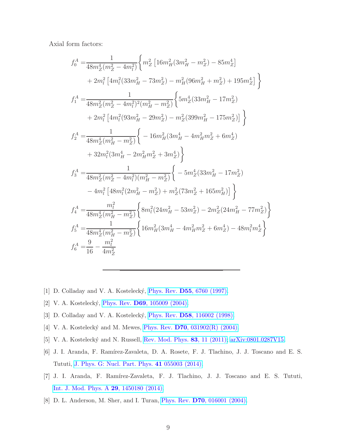Axial form factors:

$$
\begin{split} f_{0}^{A}=&\frac{1}{48m_{Z}^{4}(m_{Z}^{2}-4m_{l}^{2})}\bigg\{m_{Z}^{2}\left[16m_{H}^{2}(3m_{H}^{2}-m_{Z}^{2})-85m_{Z}^{4}\right] \\ &+2m_{l}^{2}\left[4m_{l}^{2}(33m_{H}^{2}-73m_{Z}^{2})-m_{H}^{2}(96m_{H}^{2}+m_{Z}^{2})+195m_{Z}^{4}\right]\bigg\} \\ f_{1}^{A}=&\frac{1}{48m_{Z}^{2}(m_{Z}^{2}-4m_{l}^{2})^{2}(m_{H}^{2}-m_{Z}^{2})}\bigg\{5m_{Z}^{4}(33m_{H}^{2}-17m_{Z}^{2}) \\ &+2m_{l}^{2}\left[4m_{l}^{2}(93m_{H}^{2}-29m_{Z}^{2})-m_{Z}^{2}(399m_{H}^{2}-175m_{Z}^{2})\right]\bigg\} \\ f_{2}^{A}=&\frac{1}{48m_{Z}^{4}(m_{H}^{2}-m_{Z}^{2})}\bigg\{-16m_{H}^{2}(3m_{H}^{4}-4m_{H}^{2}m_{Z}^{2}+6m_{Z}^{4}) \\ &+32m_{l}^{2}(3m_{H}^{4}-2m_{H}^{2}m_{Z}^{2}+3m_{Z}^{4})\bigg\} \\ f_{3}^{A}=&\frac{1}{48m_{Z}^{2}(m_{Z}^{2}-4m_{l}^{2})(m_{H}^{2}-m_{Z}^{2})}\bigg\{-5m_{Z}^{4}(33m_{H}^{2}-17m_{Z}^{2}) \\ &-4m_{l}^{2}\left[48m_{l}^{2}(2m_{H}^{2}-m_{Z}^{2})+m_{Z}^{2}(73m_{Z}^{2}+165m_{H}^{2})\right]\bigg\} \\ f_{4}^{A}=&\frac{m_{l}^{2}}{48m_{Z}^{4}(m_{H}^{2}-m_{Z}^{2})}\bigg\{8m_{l}^{2}(24m_{H}^{2}-53m_{Z}^{2})-2m_{Z}^{2}(24m_{H}^{2}-77m_{Z}^{2})\bigg\} \\ f_{5}^{A}=&\frac{1}{48m_{Z}^{4}(m_{H}^{2}-m_{Z}
$$

- <span id="page-8-0"></span>[1] D. Colladay and V. A. Kostelecký, Phys. Rev. **D55**[, 6760 \(1997\).](https://doi.org/10.1103/PhysRevD.55.6760)
- <span id="page-8-1"></span>[2] V. A. Kostelecký, Phys. Rev. **D69**[, 105009 \(2004\).](https://doi.org/10.1103/PhysRevD.69.105009)
- <span id="page-8-2"></span>[3] D. Colladay and V. A. Kostelecký, Phys. Rev. D58[, 116002 \(1998\).](https://doi.org/10.1103/PhysRevD.58.116002)
- <span id="page-8-3"></span>[4] V. A. Kostelecký and M. Mewes, Phys. Rev.  $D70$ ,  $031902(R)$  (2004).
- <span id="page-8-4"></span>[5] V. A. Kostelecký and N. Russell, [Rev. Mod. Phys.](https://doi.org/10.1103/RevModPhys.83.11) **83**, 11 (2011); [arXiv:0801.0287V15.](http://arxiv.org/abs/0801.0287v15)
- <span id="page-8-5"></span>[6] J. I. Aranda, F. Ramírez-Zavaleta, D. A. Rosete, F. J. Tlachino, J. J. Toscano and E. S. Tututi, [J. Phys. G: Nucl. Part. Phys.](https://doi.org/10.1088/0954-3899/41/5/055003) 41 055003 (2014).
- <span id="page-8-6"></span>[7] J. I. Aranda, F. Ramírez-Zavaleta, F. J. Tlachino, J. J. Toscano and E. S. Tututi, [Int. J. Mod. Phys. A](https://doi.org/10.1142/S0217751X14501802) 29, 1450180 (2014).
- <span id="page-8-7"></span>[8] D. L. Anderson, M. Sher, and I. Turan, Phys. Rev. D70[, 016001 \(2004\).](https://doi.org/10.1103/PhysRevD.70.016001)